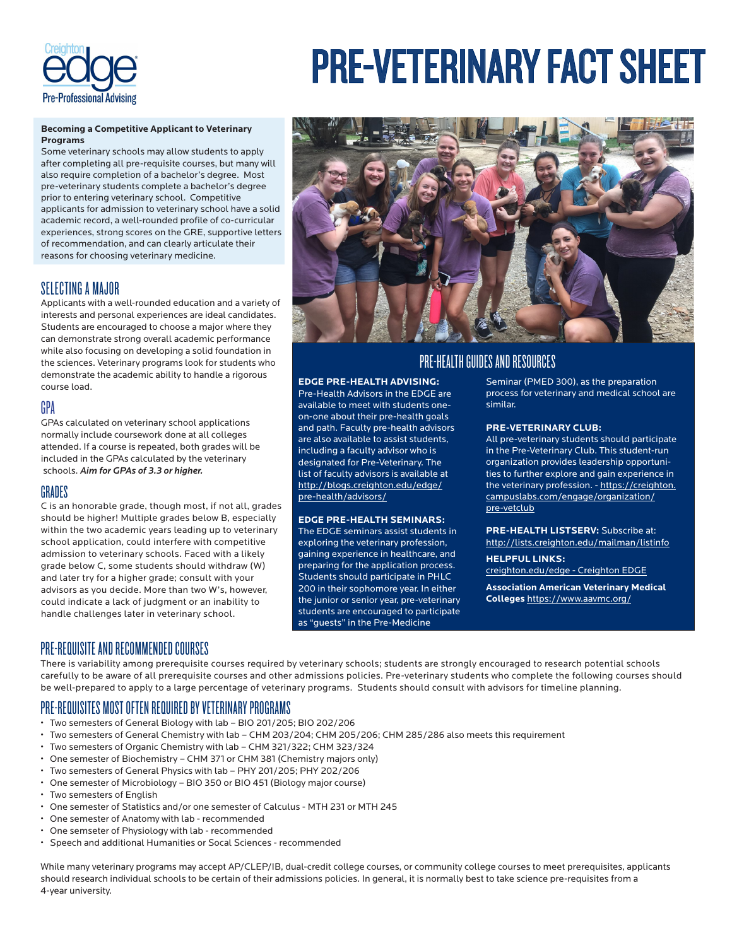

# PRE-VETERINARY FACT SHEET

#### **Becoming a Competitive Applicant to Veterinary Programs**

Some veterinary schools may allow students to apply after completing all pre-requisite courses, but many will also require completion of a bachelor's degree. Most pre-veterinary students complete a bachelor's degree prior to entering veterinary school. Competitive applicants for admission to veterinary school have a solid academic record, a well-rounded profile of co-curricular experiences, strong scores on the GRE, supportive letters of recommendation, and can clearly articulate their reasons for choosing veterinary medicine.

## SELECTING A MAJOR

Applicants with a well-rounded education and a variety of interests and personal experiences are ideal candidates. Students are encouraged to choose a major where they can demonstrate strong overall academic performance while also focusing on developing a solid foundation in the sciences. Veterinary programs look for students who demonstrate the academic ability to handle a rigorous course load.

## GPA

GPAs calculated on veterinary school applications normally include coursework done at all colleges attended. If a course is repeated, both grades will be included in the GPAs calculated by the veterinary schools. *Aim for GPAs of 3.3 or higher.*

### **GRADES**

C is an honorable grade, though most, if not all, grades should be higher! Multiple grades below B, especially within the two academic years leading up to veterinary school application, could interfere with competitive admission to veterinary schools. Faced with a likely grade below C, some students should withdraw (W) and later try for a higher grade; consult with your advisors as you decide. More than two W's, however, could indicate a lack of judgment or an inability to handle challenges later in veterinary school.



# PRE-HEALTH GUIDES AND RESOURCES

#### **EDGE PRE-HEALTH ADVISING:**

Pre-Health Advisors in the EDGE are available to meet with students oneon-one about their pre-health goals and path. Faculty pre-health advisors are also available to assist students, including a faculty advisor who is designated for Pre-Veterinary. The list of faculty advisors is available at http://blogs.creighton.edu/edge/ pre-health/advisors/

#### **EDGE PRE-HEALTH SEMINARS:**

The EDGE seminars assist students in exploring the veterinary profession, gaining experience in healthcare, and preparing for the application process. Students should participate in PHLC 200 in their sophomore year. In either the junior or senior year, pre-veterinary students are encouraged to participate as "guests" in the Pre-Medicine

Seminar (PMED 300), as the preparation process for veterinary and medical school are similar.

#### **PRE-VETERINARY CLUB:**

All pre-veterinary students should participate in the Pre-Veterinary Club. This student-run organization provides leadership opportunities to further explore and gain experience in the veterinary profession. - https://creighton. campuslabs.com/engage/organization/ pre-vetclub

**PRE-HEALTH LISTSERV:** Subscribe at: http://lists.creighton.edu/mailman/listinfo

**HELPFUL LINKS:**  creighton.edu/edge - Creighton EDGE

**Association American Veterinary Medical Colleges** https://www.aavmc.org/

## PRE-REQUISITE AND RECOMMENDED COURSES

There is variability among prerequisite courses required by veterinary schools; students are strongly encouraged to research potential schools carefully to be aware of all prerequisite courses and other admissions policies. Pre-veterinary students who complete the following courses should be well-prepared to apply to a large percentage of veterinary programs. Students should consult with advisors for timeline planning.

## PRE-REQUISITES MOST OFTEN REQUIRED BY VETERINARY PROGRAMS

- Two semesters of General Biology with lab BIO 201/205; BIO 202/206
- Two semesters of General Chemistry with lab CHM 203/204; CHM 205/206; CHM 285/286 also meets this requirement
- Two semesters of Organic Chemistry with lab CHM 321/322; CHM 323/324
- One semester of Biochemistry CHM 371 or CHM 381 (Chemistry majors only)
- Two semesters of General Physics with lab PHY 201/205; PHY 202/206
- One semester of Microbiology BIO 350 or BIO 451 (Biology major course)
- Two semesters of English
- One semester of Statistics and/or one semester of Calculus MTH 231 or MTH 245
- One semester of Anatomy with lab recommended
- One semseter of Physiology with lab recommended
- Speech and additional Humanities or Socal Sciences recommended

While many veterinary programs may accept AP/CLEP/IB, dual-credit college courses, or community college courses to meet prerequisites, applicants should research individual schools to be certain of their admissions policies. In general, it is normally best to take science pre-requisites from a 4-year university.